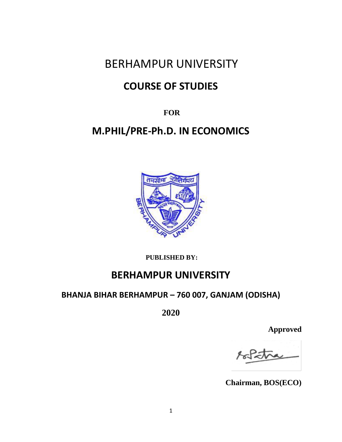# BERHAMPUR UNIVERSITY

# **COURSE OF STUDIES**

**FOR** 

# **M.PHIL/PRE-Ph.D. IN ECONOMICS**



**PUBLISHED BY:** 

# **BERHAMPUR UNIVERSITY**

## **BHANJA BIHAR BERHAMPUR – 760 007, GANJAM (ODISHA)**

**2020**

**Approved**

**Chairman, BOS(ECO)**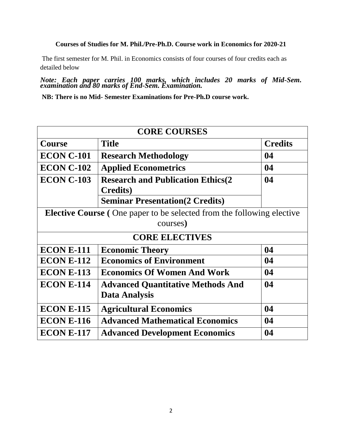### **Courses of Studies for M. Phil./Pre-Ph.D. Course work in Economics for 2020-21**

The first semester for M. Phil. in Economics consists of four courses of four credits each as detailed below

*Note: Each paper carries 100 marks, which includes 20 marks of Mid-Sem. examination and 80 marks of End-Sem. Examination.*

**NB: There is no Mid- Semester Examinations for Pre-Ph.D course work.** 

| <b>CORE COURSES</b>                                                                                               |                                                                  |                |
|-------------------------------------------------------------------------------------------------------------------|------------------------------------------------------------------|----------------|
| <b>Course</b>                                                                                                     | <b>Title</b>                                                     | <b>Credits</b> |
| <b>ECON C-101</b>                                                                                                 | <b>Research Methodology</b>                                      | 04             |
| <b>ECON C-102</b>                                                                                                 | <b>Applied Econometrics</b>                                      | 04             |
| <b>ECON C-103</b>                                                                                                 | <b>Research and Publication Ethics(2)</b><br><b>Credits</b> )    | 04             |
|                                                                                                                   | <b>Seminar Presentation (2 Credits)</b>                          |                |
| <b>Elective Course</b> (One paper to be selected from the following elective<br>courses)<br><b>CORE ELECTIVES</b> |                                                                  |                |
| <b>ECON E-111</b>                                                                                                 | <b>Economic Theory</b>                                           | 04             |
| <b>ECON E-112</b>                                                                                                 | <b>Economics of Environment</b>                                  | 04             |
| <b>ECON E-113</b>                                                                                                 | <b>Economics Of Women And Work</b>                               | 04             |
| <b>ECON E-114</b>                                                                                                 | <b>Advanced Quantitative Methods And</b><br><b>Data Analysis</b> | 04             |
| <b>ECON E-115</b>                                                                                                 | <b>Agricultural Economics</b>                                    | 04             |
| <b>ECON E-116</b>                                                                                                 | <b>Advanced Mathematical Economics</b>                           | 04             |
| <b>ECON E-117</b>                                                                                                 | <b>Advanced Development Economics</b>                            | 04             |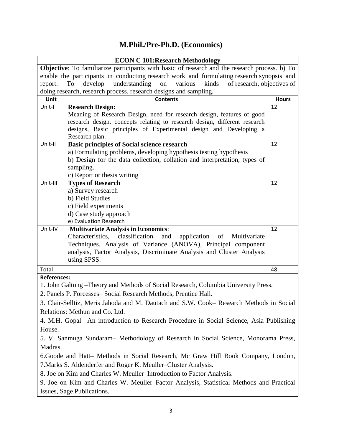## **M.Phil./Pre-Ph.D. (Economics)**

| <b>ECON C 101: Research Methodology</b>                                                 |                                                                                                                                                     |              |  |
|-----------------------------------------------------------------------------------------|-----------------------------------------------------------------------------------------------------------------------------------------------------|--------------|--|
|                                                                                         | <b>Objective:</b> To familiarize participants with basic of research and the research process. b) To                                                |              |  |
|                                                                                         | enable the participants in conducting research work and formulating research synopsis and                                                           |              |  |
|                                                                                         | understanding<br>report.<br>To<br>develop<br>various<br>kinds<br>of research, objectives of<br>on                                                   |              |  |
|                                                                                         | doing research, research process, research designs and sampling.                                                                                    |              |  |
| Unit                                                                                    | <b>Contents</b>                                                                                                                                     | <b>Hours</b> |  |
| Unit-I                                                                                  | <b>Research Design:</b>                                                                                                                             | 12           |  |
|                                                                                         | Meaning of Research Design, need for research design, features of good<br>research design, concepts relating to research design, different research |              |  |
|                                                                                         | designs, Basic principles of Experimental design and Developing a                                                                                   |              |  |
|                                                                                         | Research plan.                                                                                                                                      |              |  |
| Unit-II                                                                                 | <b>Basic principles of Social science research</b>                                                                                                  | 12           |  |
|                                                                                         | a) Formulating problems, developing hypothesis testing hypothesis                                                                                   |              |  |
|                                                                                         | b) Design for the data collection, collation and interpretation, types of                                                                           |              |  |
|                                                                                         | sampling.                                                                                                                                           |              |  |
|                                                                                         | c) Report or thesis writing                                                                                                                         |              |  |
| Unit-III                                                                                | <b>Types of Research</b>                                                                                                                            | 12           |  |
|                                                                                         | a) Survey research                                                                                                                                  |              |  |
|                                                                                         | b) Field Studies                                                                                                                                    |              |  |
|                                                                                         | c) Field experiments                                                                                                                                |              |  |
|                                                                                         | d) Case study approach                                                                                                                              |              |  |
|                                                                                         | e) Evaluation Research                                                                                                                              |              |  |
| Unit-IV                                                                                 | <b>Multivariate Analysis in Economics:</b><br>Characteristics,<br>classification<br>application<br>Multivariate<br>and                              | 12           |  |
|                                                                                         | of<br>Techniques, Analysis of Variance (ANOVA), Principal component                                                                                 |              |  |
|                                                                                         | analysis, Factor Analysis, Discriminate Analysis and Cluster Analysis                                                                               |              |  |
|                                                                                         | using SPSS.                                                                                                                                         |              |  |
| Total                                                                                   |                                                                                                                                                     | 48           |  |
| <b>References:</b>                                                                      |                                                                                                                                                     |              |  |
|                                                                                         | 1. John Galtung – Theory and Methods of Social Research, Columbia University Press.                                                                 |              |  |
|                                                                                         | 2. Panels P. Forcesses-Social Research Methods, Prentice Hall.                                                                                      |              |  |
|                                                                                         |                                                                                                                                                     |              |  |
|                                                                                         | 3. Clair-Selltiz, Meris Jahoda and M. Dautach and S.W. Cook- Research Methods in Social                                                             |              |  |
|                                                                                         | Relations: Methun and Co. Ltd.                                                                                                                      |              |  |
|                                                                                         | 4. M.H. Gopal- An introduction to Research Procedure in Social Science, Asia Publishing                                                             |              |  |
| House.                                                                                  |                                                                                                                                                     |              |  |
|                                                                                         | 5. V. Sanmuga Sundaram– Methodology of Research in Social Science, Monorama Press,                                                                  |              |  |
| Madras.                                                                                 |                                                                                                                                                     |              |  |
|                                                                                         | 6.Goode and Hatt- Methods in Social Research, Mc Graw Hill Book Company, London,                                                                    |              |  |
|                                                                                         | 7. Marks S. Aldenderfer and Roger K. Meuller-Cluster Analysis.                                                                                      |              |  |
|                                                                                         | 8. Joe on Kim and Charles W. Meuller-Introduction to Factor Analysis.                                                                               |              |  |
| 9. Joe on Kim and Charles W. Meuller–Factor Analysis, Statistical Methods and Practical |                                                                                                                                                     |              |  |
|                                                                                         | Issues, Sage Publications.                                                                                                                          |              |  |
|                                                                                         |                                                                                                                                                     |              |  |
|                                                                                         |                                                                                                                                                     |              |  |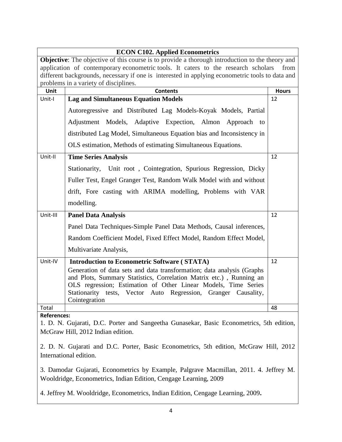|                                                                                                        | <b>ECON C102. Applied Econometrics</b>                                                          |              |  |
|--------------------------------------------------------------------------------------------------------|-------------------------------------------------------------------------------------------------|--------------|--|
| <b>Objective:</b> The objective of this course is to provide a thorough introduction to the theory and |                                                                                                 |              |  |
|                                                                                                        | application of contemporary econometric tools. It caters to the research scholars<br>from       |              |  |
|                                                                                                        | different backgrounds, necessary if one is interested in applying econometric tools to data and |              |  |
|                                                                                                        | problems in a variety of disciplines.                                                           |              |  |
| Unit                                                                                                   | <b>Contents</b>                                                                                 | <b>Hours</b> |  |
| Unit-I                                                                                                 | <b>Lag and Simultaneous Equation Models</b>                                                     | 12           |  |
|                                                                                                        | Autoregressive and Distributed Lag Models-Koyak Models, Partial                                 |              |  |
|                                                                                                        | Adjustment Models, Adaptive Expection, Almon Approach to                                        |              |  |
|                                                                                                        | distributed Lag Model, Simultaneous Equation bias and Inconsistency in                          |              |  |
|                                                                                                        | OLS estimation, Methods of estimating Simultaneous Equations.                                   |              |  |
| Unit-II                                                                                                | <b>Time Series Analysis</b>                                                                     | 12           |  |
|                                                                                                        | Stationarity, Unit root, Cointegration, Spurious Regression, Dicky                              |              |  |
|                                                                                                        | Fuller Test, Engel Granger Test, Random Walk Model with and without                             |              |  |
|                                                                                                        | drift, Fore casting with ARIMA modelling, Problems with VAR                                     |              |  |
|                                                                                                        | modelling.                                                                                      |              |  |
| Unit-III                                                                                               | <b>Panel Data Analysis</b>                                                                      | 12           |  |
|                                                                                                        | Panel Data Techniques-Simple Panel Data Methods, Causal inferences,                             |              |  |
|                                                                                                        | Random Coefficient Model, Fixed Effect Model, Random Effect Model,                              |              |  |
|                                                                                                        | Multivariate Analysis,                                                                          |              |  |
| Unit-IV                                                                                                | <b>Introduction to Econometric Software (STATA)</b>                                             | 12           |  |
|                                                                                                        | Generation of data sets and data transformation; data analysis (Graphs                          |              |  |
|                                                                                                        | and Plots, Summary Statistics, Correlation Matrix etc.), Running an                             |              |  |
|                                                                                                        | OLS regression; Estimation of Other Linear Models, Time Series                                  |              |  |
|                                                                                                        | Stationarity tests, Vector Auto Regression, Granger Causality,                                  |              |  |
|                                                                                                        | Cointegration                                                                                   |              |  |
| Total                                                                                                  |                                                                                                 | 48           |  |
| <b>References:</b>                                                                                     |                                                                                                 |              |  |

1. D. N. Gujarati, D.C. Porter and Sangeetha Gunasekar, Basic Econometrics, 5th edition, McGraw Hill, 2012 Indian edition.

2. D. N. Gujarati and D.C. Porter, Basic Econometrics, 5th edition, McGraw Hill, 2012 International edition.

3. Damodar Gujarati, Econometrics by Example, Palgrave Macmillan, 2011. 4. Jeffrey M. Wooldridge, Econometrics, Indian Edition, Cengage Learning, 2009

4. Jeffrey M. Wooldridge, Econometrics, Indian Edition, Cengage Learning, 2009**.**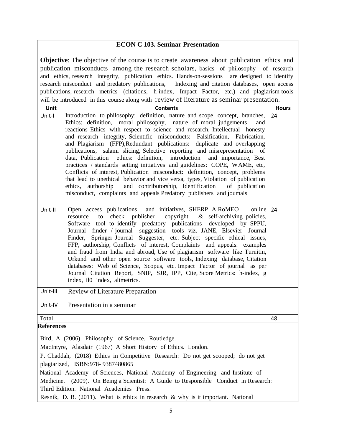### **ECON C 103. Seminar Presentation**

**Objective**: The objective of the course is to create awareness about publication ethics and publication misconducts among the research scholars, basics of philosophy of research and ethics, research integrity, publication ethics. Hands-on-sessions are designed to identify research misconduct and predatory publications, Indexing and citation databases, open access publications, research metrics (citations, h-index, Impact Factor, etc.) and plagiarism tools will be introduced in this course along with review of literature as seminar presentation.

| Unit              | will be introduced in this course along with Tevrew of Interactive as scriminar presentation<br><b>Contents</b>                                                                                                                                                                                                                                                                                                                                                                                                                                                                                                                                                                                                                                                                                                                                                                                                                                            | <b>Hours</b> |
|-------------------|------------------------------------------------------------------------------------------------------------------------------------------------------------------------------------------------------------------------------------------------------------------------------------------------------------------------------------------------------------------------------------------------------------------------------------------------------------------------------------------------------------------------------------------------------------------------------------------------------------------------------------------------------------------------------------------------------------------------------------------------------------------------------------------------------------------------------------------------------------------------------------------------------------------------------------------------------------|--------------|
| Unit-I            | Introduction to philosophy: definition, nature and scope, concept, branches,<br>Ethics: definition, moral philosophy, nature of moral judgements<br>and<br>reactions Ethics with respect to science and research, Intellectual honesty<br>and research integrity, Scientific misconducts: Falsification, Fabrication,<br>and Plagiarism (FFP), Redundant publications: duplicate and overlapping<br>publications, salami slicing, Selective reporting and misrepresentation of<br>data, Publication ethics: definition, introduction and importance, Best<br>practices / standards setting initiatives and guidelines: COPE, WAME, etc,<br>Conflicts of interest, Publication misconduct: definition, concept, problems<br>that lead to unethical behavior and vice versa, types, Violation of publication<br>ethics, authorship and contributorship, Identification of publication<br>misconduct, complaints and appeals Predatory publishers and joumals | 24           |
| Unit-II           | Open access publications and initiatives, SHERP AlRoMEO<br>online<br>publisher copyright & self-archiving policies,<br>to check<br>resource<br>Software tool to identify predatory publications developed by SPPU,<br>Journal finder / journal suggestion tools viz. JANE, Elsevier Journal<br>Finder, Springer Journal Suggester, etc. Subject specific ethical issues,<br>FFP, authorship, Conflicts of interest, Complaints and appeals: examples<br>and fraud from India and abroad, Use of plagiarism software like Turnitin,<br>Urkund and other open source software tools, Indexing database, Citation<br>databases: Web of Science, Scopus, etc. Impact Factor of journal as per<br>Journal Citation Report, SNIP, SJR, IPP, Cite, Score Metrics: h-index, g<br>index, il0 index, altmetrics.                                                                                                                                                     | 24           |
| Unit-III          | Review of Literature Preparation                                                                                                                                                                                                                                                                                                                                                                                                                                                                                                                                                                                                                                                                                                                                                                                                                                                                                                                           |              |
| Unit-IV           | Presentation in a seminar                                                                                                                                                                                                                                                                                                                                                                                                                                                                                                                                                                                                                                                                                                                                                                                                                                                                                                                                  |              |
| Total             |                                                                                                                                                                                                                                                                                                                                                                                                                                                                                                                                                                                                                                                                                                                                                                                                                                                                                                                                                            | 48           |
| <b>References</b> | Bird, A. (2006). Philosophy of Science. Routledge.<br>MacIntyre, Alasdair (1967) A Short History of Ethics. London.<br>P. Chaddah, (2018) Ethics in Competitive Research: Do not get scooped; do not get<br>plagiarized, ISBN:978-9387480865                                                                                                                                                                                                                                                                                                                                                                                                                                                                                                                                                                                                                                                                                                               |              |

National Academy of Sciences, National Academy of Engineering and Institute of Medicine. (2009). On Being a Scientist: A Guide to Responsible Conduct in Research: Third Edition. National Academies Press.

Resnik, D. B. (2011). What is ethics in research & why is it important. National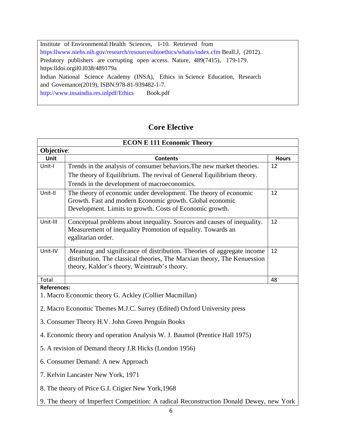Institute of Environmental Health Sciences, 1-10. Retrieved from [https:llwww.niehs.nih.gov/research/resourcesibioethics/whatis/index.cfm](http://www.niehs.nih.gov/research/resourcesibioethics/whatis/index.cfm) Beall.J, (2012). Predatory publishers are corrupting open access. Nature, 489(7415), 179-179. https:lldoi.orgil0.l038/489179a Indian National Science Academy (INSA), Ethics in Science Education, Research and Govemance(2019), ISBN:978-81-939482-1-7. <http://www.insaindia.res.inlpdf/Ethics>Book.pdf

## **Core Elective**

|                    | <b>ECON E 111 Economic Theory</b>                                                       |              |
|--------------------|-----------------------------------------------------------------------------------------|--------------|
| Objective:         |                                                                                         |              |
| <b>Unit</b>        | <b>Contents</b>                                                                         | <b>Hours</b> |
| Unit-I             | Trends in the analysis of consumer behaviors. The new market theories.                  | 12           |
|                    | The theory of Equilibrium. The revival of General Equilibrium theory.                   |              |
|                    | Trends in the development of macroeconomics.                                            |              |
| Unit-II            | The theory of economic under development. The theory of economic                        | 12           |
|                    | Growth. Fast and modern Economic growth. Global economic                                |              |
|                    | Development. Limits to growth. Costs of Economic growth.                                |              |
| Unit-III           | Conceptual problems about inequality. Sources and causes of inequality.                 | 12           |
|                    | Measurement of inequality Promotion of equality. Towards an                             |              |
|                    | egalitarian order.                                                                      |              |
| Unit-IV            | Meaning and significance of distribution. Theories of aggregate income                  | 12           |
|                    | distribution. The classical theories, The Marxian theory, The Kenuession                |              |
|                    | theory, Kaldor's theory, Weintraub's theory.                                            |              |
| Total              |                                                                                         | 48           |
| <b>References:</b> |                                                                                         |              |
|                    | 1. Macro Economic theory G. Ackley (Collier Macmillan)                                  |              |
|                    | 2. Macro Economic Themes M.J.C. Surrey (Edited) Oxford University press                 |              |
|                    | 3. Consumer Theory H.V. John Green Penguin Books                                        |              |
|                    | 4. Economic theory and operation Analysis W. J. Baumol (Prentice Hall 1975)             |              |
|                    | 5. A revision of Demand theory J.R Hicks (London 1956)                                  |              |
|                    | 6. Consumer Demand: A new Approach                                                      |              |
|                    | 7. Kelvin Lancaster New York, 1971                                                      |              |
|                    | 8. The theory of Price G.I. Ctigier New York, 1968                                      |              |
|                    | 9. The theory of Imperfect Competition: A radical Reconstruction Donald Dewey, new York |              |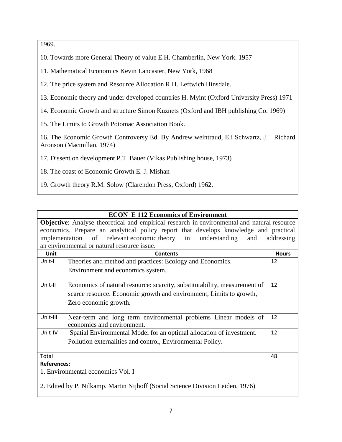1969.

10. Towards more General Theory of value E.H. Chamberlin, New York. 1957

11. Mathematical Economics Kevin Lancaster, New York, 1968

12. The price system and Resource Allocation R.H. Leftwich Hinsdale.

13. Economic theory and under developed countries H. Myint (Oxford University Press) 1971

14. Economic Growth and structure Simon Kuznets (Oxford and IBH publishing Co. 1969)

15. The Limits to Growth Potomac Association Book.

16. The Economic Growth Controversy Ed. By Andrew weintraud, Eli Schwartz, J. Richard Aronson (Macmillan, 1974)

17. Dissent on development P.T. Bauer (Vikas Publishing house, 1973)

18. The coast of Economic Growth E. J. Mishan

19. Growth theory R.M. Solow (Clarendon Press, Oxford) 1962.

## **ECON E 112 Economics of Environment**

**Objective**: Analyse theoretical and empirical research in environmental and natural resource economics. Prepare an analytical policy report that develops knowledge and practical implementation of relevant economic theory in understanding and addressing an environmental or natural resource issue.

| Unit               | <b>Contents</b>                                                                               | <b>Hours</b> |
|--------------------|-----------------------------------------------------------------------------------------------|--------------|
| Unit-I             | Theories and method and practices: Ecology and Economics.                                     | 12           |
|                    | Environment and economics system.                                                             |              |
| Unit-II            | Economics of natural resource: scarcity, substitutability, measurement of                     | 12           |
|                    | scarce resource. Economic growth and environment, Limits to growth,                           |              |
|                    | Zero economic growth.                                                                         |              |
| Unit-III           | Near-term and long term environmental problems Linear models of<br>economics and environment. | 12           |
| Unit-IV            | Spatial Environmental Model for an optimal allocation of investment.                          | 12           |
|                    | Pollution externalities and control, Environmental Policy.                                    |              |
| Total              |                                                                                               | 48           |
| <b>References:</b> |                                                                                               |              |
|                    | 1. Environmental economics Vol. I                                                             |              |
|                    | 2. Edited by P. Nilkamp. Martin Nijhoff (Social Science Division Leiden, 1976)                |              |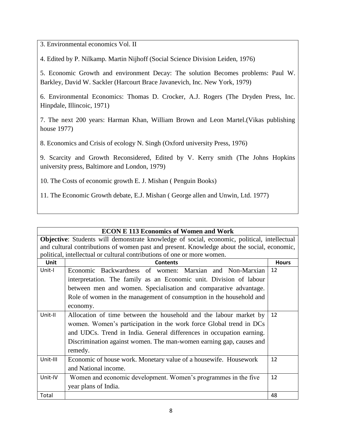3. Environmental economics Vol. II

4. Edited by P. Nilkamp. Martin Nijhoff (Social Science Division Leiden, 1976)

5. Economic Growth and environment Decay: The solution Becomes problems: Paul W. Barkley, David W. Sackler (Harcourt Brace Javanevich, Inc. New York, 1979)

6. Environmental Economics: Thomas D. Crocker, A.J. Rogers (The Dryden Press, Inc. Hinpdale, Illincoic, 1971)

7. The next 200 years: Harman Khan, William Brown and Leon Martel.(Vikas publishing house 1977)

8. Economics and Crisis of ecology N. Singh (Oxford university Press, 1976)

9. Scarcity and Growth Reconsidered, Edited by V. Kerry smith (The Johns Hopkins university press, Baltimore and London, 1979)

- 10. The Costs of economic growth E. J. Mishan ( Penguin Books)
- 11. The Economic Growth debate, E.J. Mishan ( George allen and Unwin, Ltd. 1977)

|          | <b>ECON E 113 Economics of Women and Work</b>                                               |              |  |
|----------|---------------------------------------------------------------------------------------------|--------------|--|
|          | Objective: Students will demonstrate knowledge of social, economic, political, intellectual |              |  |
|          | and cultural contributions of women past and present. Knowledge about the social, economic, |              |  |
|          | political, intellectual or cultural contributions of one or more women.                     |              |  |
| Unit     | <b>Contents</b>                                                                             | <b>Hours</b> |  |
| Unit-I   | Economic Backwardness of women: Marxian and Non-Marxian                                     | 12           |  |
|          | interpretation. The family as an Economic unit. Division of labour                          |              |  |
|          | between men and women. Specialisation and comparative advantage.                            |              |  |
|          | Role of women in the management of consumption in the household and                         |              |  |
|          | economy.                                                                                    |              |  |
| Unit-II  | Allocation of time between the household and the labour market by                           | 12           |  |
|          | women. Women's participation in the work force Global trend in DCs                          |              |  |
|          | and UDCs. Trend in India. General differences in occupation earning.                        |              |  |
|          | Discrimination against women. The man-women earning gap, causes and                         |              |  |
|          | remedy.                                                                                     |              |  |
| Unit-III | Economic of house work. Monetary value of a housewife. Housework                            | 12           |  |
|          | and National income.                                                                        |              |  |
| Unit-IV  | Women and economic development. Women's programmes in the five                              | 12           |  |
|          | year plans of India.                                                                        |              |  |
| Total    |                                                                                             | 48           |  |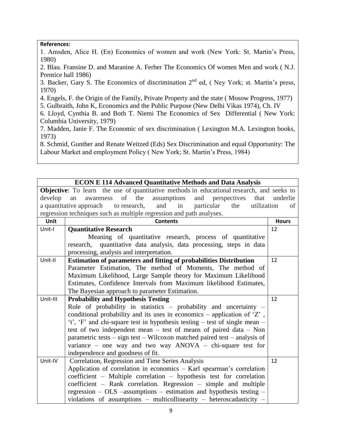### **References:**

1. Amsden, Alice H. (En) Economics of women and work (New York: St. Martin's Press, 1980)

2. Blau. Fransine D. and Maranine A. Ferber The Economics Of women Men and work ( N.J. Prentice hall 1986)

3. Backer, Gary S. The Economics of discrimination  $2<sup>nd</sup>$  ed, (Ney York; st. Martin's press, 1970)

4. Engels, F. the Origin of the Family, Private Property and the state ( Mosow Progress, 1977)

5. Gulbraith, John K, Economics and the Public Purpose (New Delhi Vikas 1974), Ch. IV

6. Lloyd, Cynthia B. and Both T. Niemi The Economics of Sex Differential ( New York: Columbia University, 1979)

7. Madden, Janie F. The Economic of sex discrimination ( Lexington M.A. Lexington books, 1973)

8. Schmid, Gunther and Renate Weitzed (Eds) Sex Discrimination and equal Opportunity: The Labour Market and employment Policy ( New York; St. Martin's Press, 1984)

### **ECON E 114 Advanced Quantitative Methods and Data Analysis**

**Objective**: To learn the use of quantitative methods in educational research, and seeks to develop an awareness of the assumptions and perspectives that underlie a quantitative approach to research, and in particular the utilization of regression techniques such as multiple regression and path analyses.

| Unit     | <b>Contents</b>                                                                | <b>Hours</b> |
|----------|--------------------------------------------------------------------------------|--------------|
| Unit-I   | <b>Quantitative Research</b>                                                   | 12           |
|          | Meaning of quantitative research, process of quantitative                      |              |
|          | research, quantitative data analysis, data processing, steps in data           |              |
|          | processing, analysis and interpretation.                                       |              |
| Unit-II  | <b>Estimation of parameters and fitting of probabilities Distribution</b>      | 12           |
|          | Parameter Estimation, The method of Moments, The method of                     |              |
|          | Maximum Likelihood, Large Sample theory for Maximum Likelihood                 |              |
|          | Estimates, Confidence Intervals from Maximum likelihood Estimates,             |              |
|          | The Bayesian approach to parameter Estimation.                                 |              |
| Unit-III | <b>Probability and Hypothesis Testing</b>                                      | 12           |
|          | Role of probability in statistics $-$ probability and uncertainty $-$          |              |
|          | conditional probability and its uses in economics – application of $Z'$ ,      |              |
|          | 't', 'F' and chi-square test in hypothesis testing $-$ test of single mean $-$ |              |
|          | test of two independent mean $-$ test of means of paired data $-$ Non          |              |
|          | parametric tests – sign test – Wilcoxon matched paired test – analysis of      |              |
|          | variance – one way and two way $ANOVA$ – chi-square test for                   |              |
|          | independence and goodness of fit.                                              |              |
| Unit-IV  | Correlation, Regression and Time Series Analysis                               | 12           |
|          | Application of correlation in economics – Karl spearman's correlation          |              |
|          | coefficient – Multiple correlation – hypothesis test for correlation           |              |
|          | coefficient – Rank correlation. Regression – simple and multiple               |              |
|          | regression $-$ OLS $-$ assumptions $-$ estimation and hypothesis testing $-$   |              |
|          | violations of assumptions - multicollinearity - heteroscadasticity -           |              |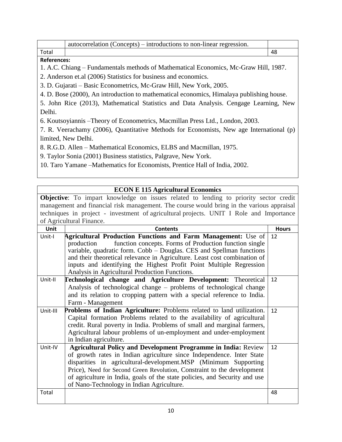|                                                                                          | autocorrelation (Concepts) – introductions to non-linear regression.                    |    |
|------------------------------------------------------------------------------------------|-----------------------------------------------------------------------------------------|----|
| Total                                                                                    |                                                                                         | 48 |
| <b>References:</b>                                                                       |                                                                                         |    |
|                                                                                          | 1. A.C. Chiang – Fundamentals methods of Mathematical Economics, Mc-Graw Hill, 1987.    |    |
|                                                                                          | 2. Anderson et.al (2006) Statistics for business and economics.                         |    |
|                                                                                          | 3. D. Gujarati – Basic Econometrics, Mc-Graw Hill, New York, 2005.                      |    |
| 4. D. Bose (2000), An introduction to mathematical economics, Himalaya publishing house. |                                                                                         |    |
| 5. John Rice (2013), Mathematical Statistics and Data Analysis. Cengage Learning, New    |                                                                                         |    |
| Delhi.                                                                                   |                                                                                         |    |
|                                                                                          | 6. Koutsoyiannis – Theory of Econometrics, Macmillan Press Ltd., London, 2003.          |    |
|                                                                                          | 7. R. Veerachamy (2006), Quantitative Methods for Economists, New age International (p) |    |
|                                                                                          | limited, New Delhi.                                                                     |    |

8. R.G.D. Allen – Mathematical Economics, ELBS and Macmillan, 1975.

9. Taylor Sonia (2001) Business statistics, Palgrave, New York.

10. Taro Yamane –Mathematics for Economists, Prentice Hall of India, 2002.

## **ECON E 115 Agricultural Economics**

**Objective**: To impart knowledge on issues related to lending to priority sector credit management and financial risk management. The course would bring in the various appraisal techniques in project - investment of agricultural projects. UNIT I Role and Importance of Agricultural Finance.

| Unit     | <b>Contents</b>                                                            | <b>Hours</b> |
|----------|----------------------------------------------------------------------------|--------------|
| Unit-I   | <b>Agricultural Production Functions and Farm Management:</b> Use of       | 12           |
|          | function concepts. Forms of Production function single<br>production       |              |
|          | variable, quadratic form. Cobb – Douglas. CES and Spellman functions       |              |
|          | and their theoretical relevance in Agriculture. Least cost combination of  |              |
|          | inputs and identifying the Highest Profit Point Multiple Regression        |              |
|          | Analysis in Agricultural Production Functions.                             |              |
| Unit-II  | <b>Technological change and Agriculture Development:</b> Theoretical       | 12           |
|          | Analysis of technological change – problems of technological change        |              |
|          | and its relation to cropping pattern with a special reference to India.    |              |
|          | Farm - Management                                                          |              |
| Unit-III | Problems of Indian Agriculture: Problems related to land utilization.      | 12           |
|          | Capital formation Problems related to the availability of agricultural     |              |
|          | credit. Rural poverty in India. Problems of small and marginal farmers,    |              |
|          | Agricultural labour problems of un-employment and under-employment         |              |
|          | in Indian agriculture.                                                     |              |
| Unit-IV  | <b>Agricultural Policy and Development Programme in India: Review</b>      | 12           |
|          | of growth rates in Indian agriculture since Independence. Inter State      |              |
|          | disparities in agricultural-development.MSP (Minimum Supporting            |              |
|          | Price), Need for Second Green Revolution, Constraint to the development    |              |
|          | of agriculture in India, goals of the state policies, and Security and use |              |
|          | of Nano-Technology in Indian Agriculture.                                  |              |
| Total    |                                                                            | 48           |
|          |                                                                            |              |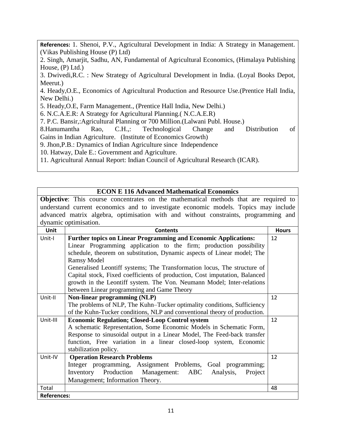**References:** 1. Shenoi, P.V., Agricultural Development in India: A Strategy in Management. (Vikas Publishing House (P) Ltd)

2. Singh, Amarjit, Sadhu, AN, Fundamental of Agricultural Economics, (Himalaya Publishing House, (P) Ltd.)

3. Dwivedi,R.C. : New Strategy of Agricultural Development in India. (Loyal Books Depot, Meerut.)

4. Heady,O.E., Economics of Agricultural Production and Resource Use.(Prentice Hall India, New Delhi.)

5. Heady,O.E, Farm Management., (Prentice Hall India, New Delhi.)

6. N.C.A.E.R: A Strategy for Agricultural Planning.( N.C.A.E.R)

7. P.C. Bansir,:Agricultural Planning or 700 Million.(Lalwani Publ. House.)

8.Hanumantha Rao, C.H.,: Technological Change and Distribution of Gains in Indian Agriculture. (Institute of Economics Growth)

9. Jhon,P.B.: Dynamics of Indian Agriculture since Independence

10. Hatway, Dale E.: Government and Agriculture.

11. Agricultural Annual Report: Indian Council of Agricultural Research (ICAR).

| <b>ECON E 116 Advanced Mathematical Economics</b> |  |
|---------------------------------------------------|--|
|                                                   |  |

**Objective**: This course concentrates on the mathematical methods that are required to understand current economics and to investigate economic models. Topics may include advanced matrix algebra, optimisation with and without constraints, programming and dynamic optimisation.

| <b>Unit</b>        | <b>Contents</b>                                                            | <b>Hours</b> |
|--------------------|----------------------------------------------------------------------------|--------------|
| Unit-I             | <b>Further topics on Linear Programming and Economic Applications:</b>     | 12           |
|                    | Linear Programming application to the firm; production possibility         |              |
|                    | schedule, theorem on substitution, Dynamic aspects of Linear model; The    |              |
|                    | <b>Ramsy Model</b>                                                         |              |
|                    | Generalised Leontiff systems; The Transformation locus, The structure of   |              |
|                    | Capital stock, Fixed coefficients of production, Cost imputation, Balanced |              |
|                    | growth in the Leontiff system. The Von. Neumann Model; Inter-relations     |              |
|                    | between Linear programming and Game Theory                                 |              |
| Unit-II            | <b>Non-linear programming (NLP)</b>                                        | 12           |
|                    | The problems of NLP, The Kuhn–Tucker optimality conditions, Sufficiency    |              |
|                    | of the Kuhn-Tucker conditions, NLP and conventional theory of production.  |              |
| Unit-III           | <b>Economic Regulation; Closed-Loop Control system</b>                     | 12           |
|                    | A schematic Representation, Some Economic Models in Schematic Form,        |              |
|                    | Response to sinusoidal output in a Linear Model, The Feed-back transfer    |              |
|                    | function, Free variation in a linear closed-loop system, Economic          |              |
|                    | stabilization policy.                                                      |              |
| Unit-IV            | <b>Operation Research Problems</b>                                         | 12           |
|                    | Integer programming, Assignment Problems, Goal programming;                |              |
|                    | Inventory<br>Production Management: ABC<br>Analysis,<br>Project            |              |
|                    | Management; Information Theory.                                            |              |
| Total              |                                                                            | 48           |
| <b>References:</b> |                                                                            |              |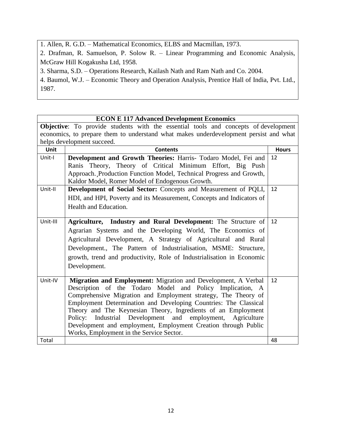1. Allen, R. G.D. – Mathematical Economics, ELBS and Macmillan, 1973.

2. Drafman, R. Samuelson, P. Solow R. – Linear Programming and Economic Analysis, McGraw Hill Kogakusha Ltd, 1958.

3. Sharma, S.D. – Operations Research, Kailash Nath and Ram Nath and Co. 2004.

4. Baumol, W.J. – Economic Theory and Operation Analysis, Prentice Hall of India, Pvt. Ltd., 1987.

### **ECON E 117 Advanced Development Economics Objective**: To provide students with the essential tools and concepts of development economics, to prepare them to understand what makes underdevelopment persist and what helps development succeed. Unit **All Example 2** Contents **Contents Hours** Unit-I **Development and Growth Theories:** Harris- Todaro Model, Fei and Ranis Theory, Theory of Critical Minimum Effort, Big Push Approach.¸Production Function Model, Technical Progress and Growth, Kaldor Model, Romer Model of Endogenous Growth. 12 Unit-II **Development of Social Sector:** Concepts and Measurement of PQLI, HDI, and HPI, Poverty and its Measurement, Concepts and Indicators of Health and Education. 12 Unit-III **Agriculture, Industry and Rural Development:** The Structure of Agrarian Systems and the Developing World, The Economics of Agricultural Development, A Strategy of Agricultural and Rural Development., The Pattern of Industrialisation, MSME: Structure, growth, trend and productivity, Role of Industrialisation in Economic Development. 12 Unit-IV **Migration and Employment:** Migration and Development, A Verbal Description of the Todaro Model and Policy Implication, A Comprehensive Migration and Employment strategy, The Theory of Employment Determination and Developing Countries: The Classical Theory and The Keynesian Theory, Ingredients of an Employment Policy: Industrial Development and employment, Agriculture Development and employment, Employment Creation through Public Works, Employment in the Service Sector. 12 Total 48